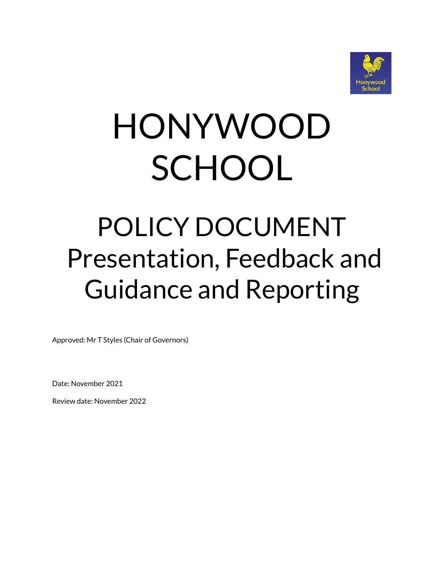

# HONYWOOD **SCHOOL**

# POLICY DOCUMENT Presentation, Feedback and Guidance and Reporting

Approved: Mr T Styles (Chair of Governors)

Date: November 2021

Review date: November 2022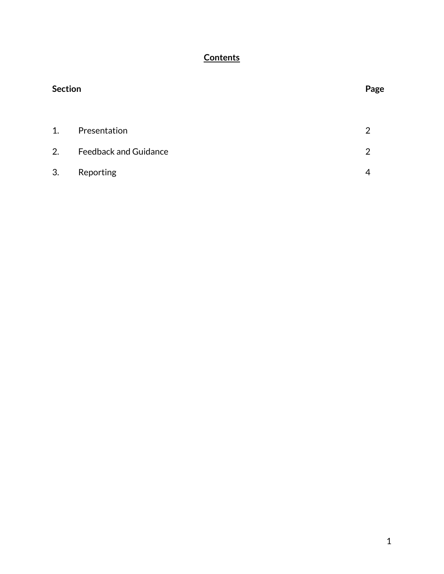# **Contents**

| <b>Section</b> |                              |   |
|----------------|------------------------------|---|
| 1.             | Presentation                 | 2 |
| 2.             | <b>Feedback and Guidance</b> | 2 |
| 3.             | Reporting                    | 4 |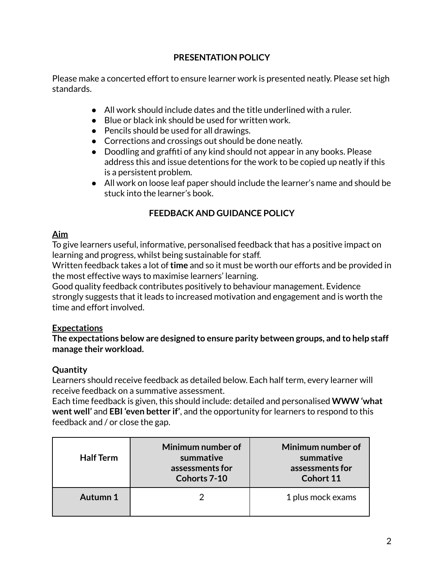# **PRESENTATION POLICY**

Please make a concerted effort to ensure learner work is presented neatly. Please set high standards.

- All work should include dates and the title underlined with a ruler.
- Blue or black ink should be used for written work.
- Pencils should be used for all drawings.
- Corrections and crossings out should be done neatly.
- Doodling and graffiti of any kind should not appear in any books. Please address this and issue detentions for the work to be copied up neatly if this is a persistent problem.
- All work on loose leaf paper should include the learner's name and should be stuck into the learner's book.

# **FEEDBACK AND GUIDANCE POLICY**

# **Aim**

To give learners useful, informative, personalised feedback that has a positive impact on learning and progress, whilst being sustainable for staff.

Written feedback takes a lot of**time** and so it must be worth our efforts and be provided in the most effective ways to maximise learners' learning.

Good quality feedback contributes positively to behaviour management. Evidence strongly suggests that it leads to increased motivation and engagement and is worth the time and effort involved.

#### **Expectations**

**The expectations below are designed to ensure parity between groups, and to help staff manage their workload.**

# **Quantity**

Learners should receive feedback as detailed below. Each half term, every learner will receive feedback on a summative assessment.

Each time feedback is given, this should include: detailed and personalised **WWW 'what went well'** and **EBI 'even better if'**, and the opportunity for learners to respond to this feedback and / or close the gap.

| <b>Half Term</b> | Minimum number of<br>summative<br>assessments for<br>Cohorts 7-10 | Minimum number of<br>summative<br>assessments for<br>Cohort 11 |
|------------------|-------------------------------------------------------------------|----------------------------------------------------------------|
| Autumn 1         |                                                                   | 1 plus mock exams                                              |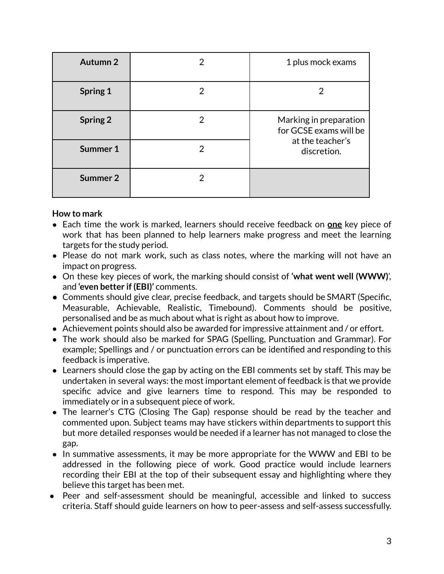| <b>Autumn 2</b> |   | 1 plus mock exams                                                                   |
|-----------------|---|-------------------------------------------------------------------------------------|
| <b>Spring 1</b> | 2 | 2                                                                                   |
| <b>Spring 2</b> | 2 | Marking in preparation<br>for GCSE exams will be<br>at the teacher's<br>discretion. |
| Summer 1        | 2 |                                                                                     |
| Summer 2        |   |                                                                                     |

#### **How to mark**

- Each time the work is marked, learners should receive feedback on **one** key piece of work that has been planned to help learners make progress and meet the learning targets for the study period.
- Please do not mark work, such as class notes, where the marking will not have an impact on progress.
- On these key pieces of work, the marking should consist of **'what went well (WWW)**', and **'even better if (EBI)'** comments.
- Comments should give clear, precise feedback, and targets should be SMART (Specific, Measurable, Achievable, Realistic, Timebound). Comments should be positive, personalised and be as much about what is right as about how to improve.
- Achievement points should also be awarded for impressive attainment and / or effort.
- The work should also be marked for SPAG (Spelling, Punctuation and Grammar). For example; Spellings and / or punctuation errors can be identified and responding to this feedback is imperative.
- Learners should close the gap by acting on the EBI comments set by staff. This may be undertaken in several ways: the most important element of feedback is that we provide specific advice and give learners time to respond. This may be responded to immediately or in a subsequent piece of work.
- The learner's CTG (Closing The Gap) response should be read by the teacher and commented upon. Subject teams may have stickers within departments to support this but more detailed responses would be needed if a learner has not managed to close the gap.
- In summative assessments, it may be more appropriate for the WWW and EBI to be addressed in the following piece of work. Good practice would include learners recording their EBI at the top of their subsequent essay and highlighting where they believe this target has been met.
- Peer and self-assessment should be meaningful, accessible and linked to success criteria. Staff should guide learners on how to peer-assess and self-assess successfully.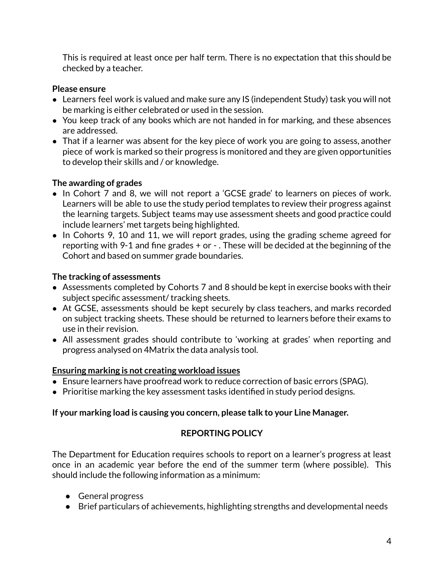This is required at least once per half term. There is no expectation that this should be checked by a teacher.

#### **Please ensure**

- Learners feel work is valued and make sure any IS (independent Study) task you will not be marking is either celebrated or used in the session.
- You keep track of any books which are not handed in for marking, and these absences are addressed.
- That if a learner was absent for the key piece of work you are going to assess, another piece of work is marked so their progress is monitored and they are given opportunities to develop their skills and / or knowledge.

# **The awarding of grades**

- In Cohort 7 and 8, we will not report a 'GCSE grade' to learners on pieces of work. Learners will be able to use the study period templates to review their progress against the learning targets. Subject teams may use assessment sheets and good practice could include learners' met targets being highlighted.
- In Cohorts 9, 10 and 11, we will report grades, using the grading scheme agreed for reporting with 9-1 and fine grades + or - . These will be decided at the beginning of the Cohort and based on summer grade boundaries.

#### **The tracking of assessments**

- Assessments completed by Cohorts 7 and 8 should be kept in exercise books with their subject specific assessment/ tracking sheets.
- At GCSE, assessments should be kept securely by class teachers, and marks recorded on subject tracking sheets. These should be returned to learners before their exams to use in their revision.
- All assessment grades should contribute to 'working at grades' when reporting and progress analysed on 4Matrix the data analysis tool.

# **Ensuring marking is not creating workload issues**

- Ensure learners have proofread work to reduce correction of basic errors (SPAG).
- Prioritise marking the key assessment tasks identified in study period designs.

# **If your marking load is causing you concern, please talk to your Line Manager.**

# **REPORTING POLICY**

The Department for Education requires schools to report on a learner's progress at least once in an academic year before the end of the summer term (where possible). This should include the following information as a minimum:

- General progress
- Brief particulars of achievements, highlighting strengths and developmental needs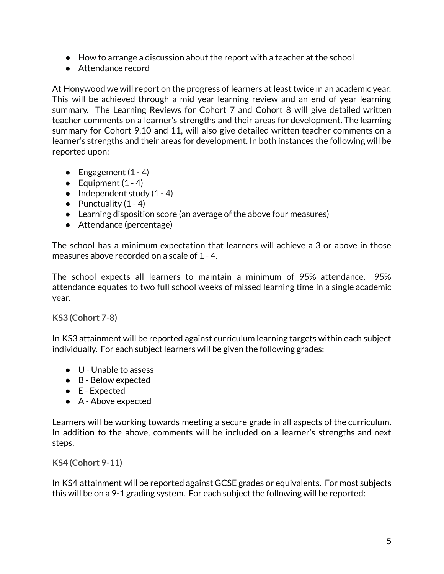- How to arrange a discussion about the report with a teacher at the school
- Attendance record

At Honywood we will report on the progress of learners at least twice in an academic year. This will be achieved through a mid year learning review and an end of year learning summary. The Learning Reviews for Cohort 7 and Cohort 8 will give detailed written teacher comments on a learner's strengths and their areas for development. The learning summary for Cohort 9,10 and 11, will also give detailed written teacher comments on a learner's strengths and their areas for development. In both instances the following will be reported upon:

- Engagement  $(1 4)$
- Equipment  $(1 4)$
- $\bullet$  Independent study  $(1 4)$
- $\bullet$  Punctuality (1 4)
- Learning disposition score (an average of the above four measures)
- Attendance (percentage)

The school has a minimum expectation that learners will achieve a 3 or above in those measures above recorded on a scale of 1 - 4.

The school expects all learners to maintain a minimum of 95% attendance. 95% attendance equates to two full school weeks of missed learning time in a single academic year.

**KS3 (Cohort 7-8)**

In KS3 attainment will be reported against curriculum learning targets within each subject individually. For each subject learners will be given the following grades:

- U Unable to assess
- B Below expected
- E Expected
- A Above expected

Learners will be working towards meeting a secure grade in all aspects of the curriculum. In addition to the above, comments will be included on a learner's strengths and next steps.

**KS4 (Cohort 9-11)**

In KS4 attainment will be reported against GCSE grades or equivalents. For most subjects this will be on a 9-1 grading system. For each subject the following will be reported: